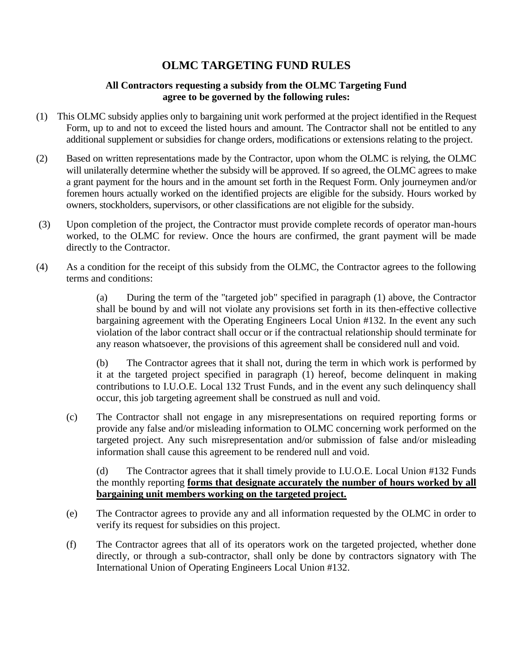### **OLMC TARGETING FUND RULES**

#### **All Contractors requesting a subsidy from the OLMC Targeting Fund agree to be governed by the following rules:**

- (1) This OLMC subsidy applies only to bargaining unit work performed at the project identified in the Request Form, up to and not to exceed the listed hours and amount. The Contractor shall not be entitled to any additional supplement or subsidies for change orders, modifications or extensions relating to the project.
- (2) Based on written representations made by the Contractor, upon whom the OLMC is relying, the OLMC will unilaterally determine whether the subsidy will be approved. If so agreed, the OLMC agrees to make a grant payment for the hours and in the amount set forth in the Request Form. Only journeymen and/or foremen hours actually worked on the identified projects are eligible for the subsidy. Hours worked by owners, stockholders, supervisors, or other classifications are not eligible for the subsidy.
- (3) Upon completion of the project, the Contractor must provide complete records of operator man-hours worked, to the OLMC for review. Once the hours are confirmed, the grant payment will be made directly to the Contractor.
- (4) As a condition for the receipt of this subsidy from the OLMC, the Contractor agrees to the following terms and conditions:

(a) During the term of the "targeted job" specified in paragraph (1) above, the Contractor shall be bound by and will not violate any provisions set forth in its then-effective collective bargaining agreement with the Operating Engineers Local Union #132. In the event any such violation of the labor contract shall occur or if the contractual relationship should terminate for any reason whatsoever, the provisions of this agreement shall be considered null and void.

(b) The Contractor agrees that it shall not, during the term in which work is performed by it at the targeted project specified in paragraph (1) hereof, become delinquent in making contributions to I.U.O.E. Local 132 Trust Funds, and in the event any such delinquency shall occur, this job targeting agreement shall be construed as null and void.

(c) The Contractor shall not engage in any misrepresentations on required reporting forms or provide any false and/or misleading information to OLMC concerning work performed on the targeted project. Any such misrepresentation and/or submission of false and/or misleading information shall cause this agreement to be rendered null and void.

(d) The Contractor agrees that it shall timely provide to I.U.O.E. Local Union #132 Funds the monthly reporting **forms that designate accurately the number of hours worked by all bargaining unit members working on the targeted project.**

- (e) The Contractor agrees to provide any and all information requested by the OLMC in order to verify its request for subsidies on this project.
- (f) The Contractor agrees that all of its operators work on the targeted projected, whether done directly, or through a sub-contractor, shall only be done by contractors signatory with The International Union of Operating Engineers Local Union #132.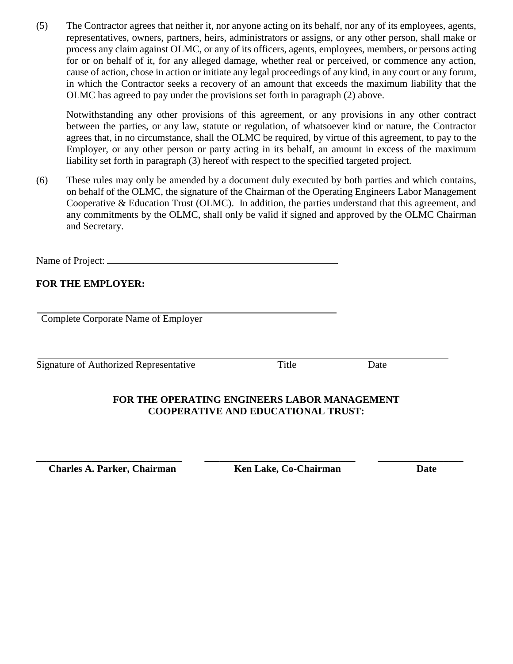(5) The Contractor agrees that neither it, nor anyone acting on its behalf, nor any of its employees, agents, representatives, owners, partners, heirs, administrators or assigns, or any other person, shall make or process any claim against OLMC, or any of its officers, agents, employees, members, or persons acting for or on behalf of it, for any alleged damage, whether real or perceived, or commence any action, cause of action, chose in action or initiate any legal proceedings of any kind, in any court or any forum, in which the Contractor seeks a recovery of an amount that exceeds the maximum liability that the OLMC has agreed to pay under the provisions set forth in paragraph (2) above.

Notwithstanding any other provisions of this agreement, or any provisions in any other contract between the parties, or any law, statute or regulation, of whatsoever kind or nature, the Contractor agrees that, in no circumstance, shall the OLMC be required, by virtue of this agreement, to pay to the Employer, or any other person or party acting in its behalf, an amount in excess of the maximum liability set forth in paragraph (3) hereof with respect to the specified targeted project.

(6) These rules may only be amended by a document duly executed by both parties and which contains, on behalf of the OLMC, the signature of the Chairman of the Operating Engineers Labor Management Cooperative & Education Trust (OLMC). In addition, the parties understand that this agreement, and any commitments by the OLMC, shall only be valid if signed and approved by the OLMC Chairman and Secretary.

Name of Project:

### **FOR THE EMPLOYER:**

Complete Corporate Name of Employer

Signature of Authorized Representative Title Date

#### **FOR THE OPERATING ENGINEERS LABOR MANAGEMENT COOPERATIVE AND EDUCATIONAL TRUST:**

**\_\_\_\_\_\_\_\_\_\_\_\_\_\_\_\_\_\_\_\_\_\_\_\_\_\_\_\_\_ \_\_\_\_\_\_\_\_\_\_\_\_\_\_\_\_\_\_\_\_\_\_\_\_\_\_\_\_\_\_ \_\_\_\_\_\_\_\_\_\_\_\_\_\_\_\_\_**

 **Charles A. Parker, Chairman Ken Lake, Co-Chairman Date**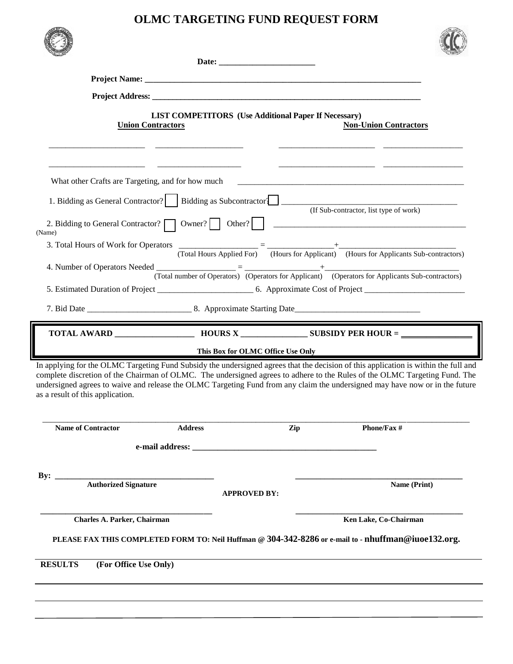# **OLMC TARGETING FUND REQUEST FORM**

|                                         | <b>Union Contractors</b> | <b>LIST COMPETITORS</b> (Use Additional Paper If Necessary) |     | <b>Non-Union Contractors</b>                                                                                                                                                                                                                                                                                                                                                                      |  |
|-----------------------------------------|--------------------------|-------------------------------------------------------------|-----|---------------------------------------------------------------------------------------------------------------------------------------------------------------------------------------------------------------------------------------------------------------------------------------------------------------------------------------------------------------------------------------------------|--|
|                                         |                          |                                                             |     |                                                                                                                                                                                                                                                                                                                                                                                                   |  |
| 1. Bidding as General Contractor?       |                          |                                                             |     | (If Sub-contractor, list type of work)                                                                                                                                                                                                                                                                                                                                                            |  |
| (Name)                                  |                          |                                                             |     |                                                                                                                                                                                                                                                                                                                                                                                                   |  |
|                                         |                          |                                                             |     | 3. Total Hours of Work for Operators $\frac{1}{(Total Hours Applied For)} = \frac{+}{(Hours for Application)} + \frac{+}{(Hours for Applications Sub-contractors)}$                                                                                                                                                                                                                               |  |
|                                         |                          |                                                             |     |                                                                                                                                                                                                                                                                                                                                                                                                   |  |
|                                         |                          |                                                             |     | (Total number of Operators) (Operators for Applicant) (Operators for Applicants Sub-contractors)                                                                                                                                                                                                                                                                                                  |  |
|                                         |                          |                                                             |     |                                                                                                                                                                                                                                                                                                                                                                                                   |  |
|                                         |                          |                                                             |     |                                                                                                                                                                                                                                                                                                                                                                                                   |  |
|                                         |                          | This Box for OLMC Office Use Only                           |     |                                                                                                                                                                                                                                                                                                                                                                                                   |  |
| as a result of this application.        |                          |                                                             |     | In applying for the OLMC Targeting Fund Subsidy the undersigned agrees that the decision of this application is within the full and<br>complete discretion of the Chairman of OLMC. The undersigned agrees to adhere to the Rules of the OLMC Targeting Fund. The<br>undersigned agrees to waive and release the OLMC Targeting Fund from any claim the undersigned may have now or in the future |  |
| <b>Name of Contractor</b>               | <b>Address</b>           |                                                             | Zip | Phone/Fax #                                                                                                                                                                                                                                                                                                                                                                                       |  |
|                                         |                          |                                                             |     |                                                                                                                                                                                                                                                                                                                                                                                                   |  |
|                                         |                          |                                                             |     |                                                                                                                                                                                                                                                                                                                                                                                                   |  |
| By:<br><b>Authorized Signature</b>      |                          | <b>APPROVED BY:</b>                                         |     | Name (Print)                                                                                                                                                                                                                                                                                                                                                                                      |  |
| Charles A. Parker, Chairman             |                          |                                                             |     | Ken Lake, Co-Chairman<br>PLEASE FAX THIS COMPLETED FORM TO: Neil Huffman @ 304-342-8286 or e-mail to - nhuffman@iuoe132.org.                                                                                                                                                                                                                                                                      |  |
| <b>RESULTS</b><br>(For Office Use Only) |                          |                                                             |     |                                                                                                                                                                                                                                                                                                                                                                                                   |  |
|                                         |                          |                                                             |     |                                                                                                                                                                                                                                                                                                                                                                                                   |  |
|                                         |                          |                                                             |     |                                                                                                                                                                                                                                                                                                                                                                                                   |  |
|                                         |                          |                                                             |     |                                                                                                                                                                                                                                                                                                                                                                                                   |  |